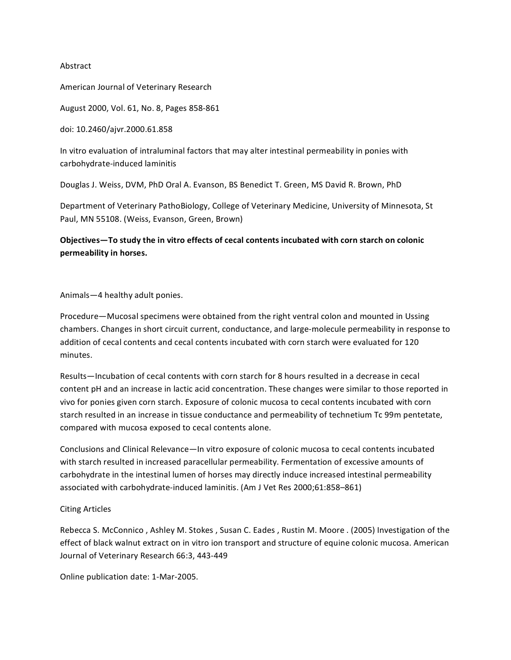## Abstract

American Journal of Veterinary Research

August 2000, Vol. 61, No. 8, Pages 858-861

doi:(10.2460/ajvr.2000.61.858

In vitro evaluation of intraluminal factors that may alter intestinal permeability in ponies with carbohydrate-induced laminitis

Douglas J. Weiss, DVM, PhD Oral A. Evanson, BS Benedict T. Green, MS David R. Brown, PhD

Department of Veterinary PathoBiology, College of Veterinary Medicine, University of Minnesota, St Paul, MN 55108. (Weiss, Evanson, Green, Brown)

Objectives-To study the in vitro effects of cecal contents incubated with corn starch on colonic **permeability-in-horses.**

Animals—4 healthy adult ponies.

Procedure—Mucosal specimens were obtained from the right ventral colon and mounted in Ussing chambers. Changes in short circuit current, conductance, and large-molecule permeability in response to addition of cecal contents and cecal contents incubated with corn starch were evaluated for 120 minutes.

Results—Incubation of cecal contents with corn starch for 8 hours resulted in a decrease in cecal content pH and an increase in lactic acid concentration. These changes were similar to those reported in vivo for ponies given corn starch. Exposure of colonic mucosa to cecal contents incubated with corn starch resulted in an increase in tissue conductance and permeability of technetium Tc 99m pentetate, compared with mucosa exposed to cecal contents alone.

Conclusions and Clinical Relevance—In vitro exposure of colonic mucosa to cecal contents incubated with starch resulted in increased paracellular permeability. Fermentation of excessive amounts of carbohydrate in the intestinal lumen of horses may directly induce increased intestinal permeability associated with carbohydrate-induced laminitis. (Am J Vet Res 2000;61:858–861)

## Citing Articles

Rebecca S. McConnico, Ashley M. Stokes, Susan C. Eades, Rustin M. Moore. (2005) Investigation of the effect of black walnut extract on in vitro ion transport and structure of equine colonic mucosa. American Journal of Veterinary Research 66:3, 443-449

Online publication date: 1-Mar-2005.